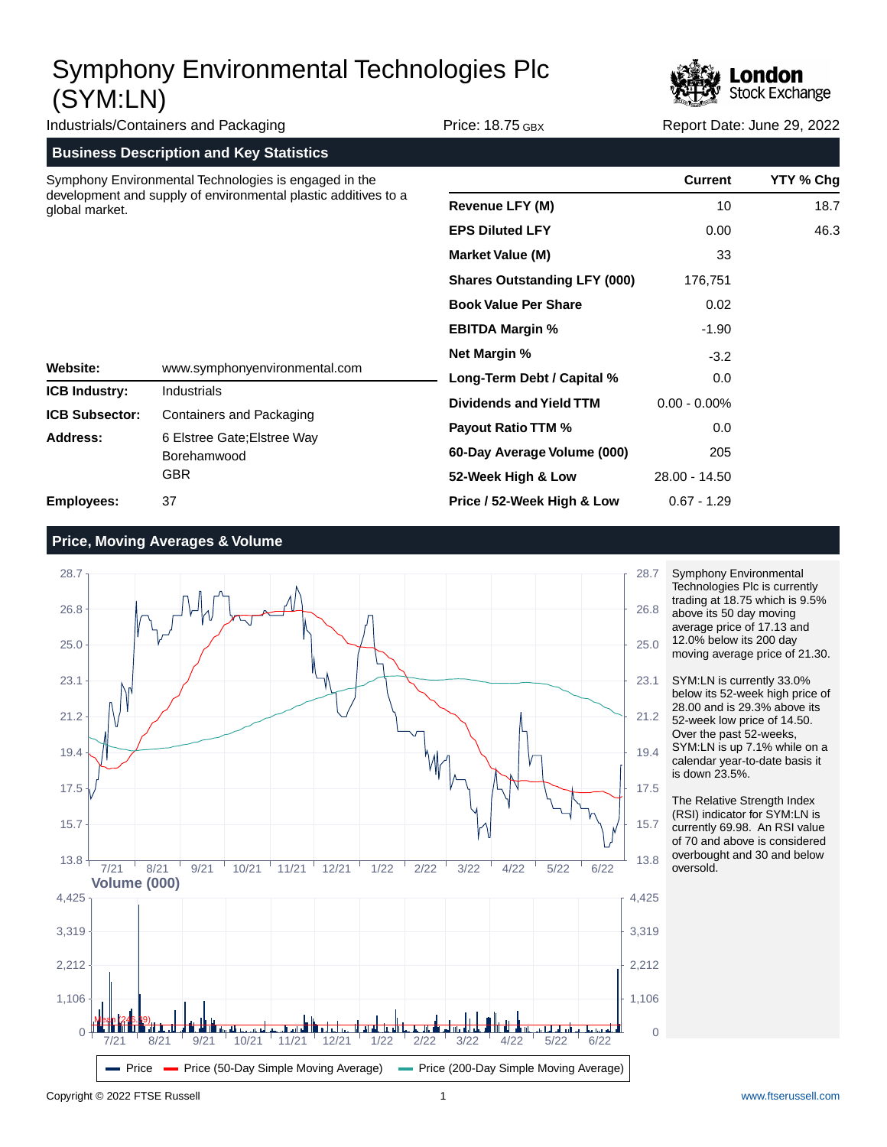

| Industrials/Containers and Packaging                                             |                                                          | <b>Price: 18.75 GBX</b>                                                      | Report Date: June 29, 2022 |           |
|----------------------------------------------------------------------------------|----------------------------------------------------------|------------------------------------------------------------------------------|----------------------------|-----------|
|                                                                                  | <b>Business Description and Key Statistics</b>           |                                                                              |                            |           |
|                                                                                  | Symphony Environmental Technologies is engaged in the    |                                                                              | <b>Current</b>             | YTY % Chg |
| development and supply of environmental plastic additives to a<br>global market. |                                                          | <b>Revenue LFY (M)</b>                                                       | 10                         | 18.7      |
|                                                                                  |                                                          | <b>EPS Diluted LFY</b>                                                       | 0.00                       | 46.3      |
|                                                                                  |                                                          | <b>Market Value (M)</b>                                                      | 33                         |           |
|                                                                                  |                                                          | <b>Shares Outstanding LFY (000)</b>                                          | 176,751                    |           |
|                                                                                  |                                                          | <b>Book Value Per Share</b><br><b>EBITDA Margin %</b><br><b>Net Margin %</b> | 0.02                       |           |
|                                                                                  |                                                          |                                                                              | $-1.90$                    |           |
|                                                                                  |                                                          |                                                                              | $-3.2$                     |           |
| Website:<br><b>ICB Industry:</b>                                                 | www.symphonyenvironmental.com<br><b>Industrials</b>      | Long-Term Debt / Capital %                                                   | 0.0                        |           |
| <b>ICB Subsector:</b>                                                            | Containers and Packaging                                 | <b>Dividends and Yield TTM</b>                                               | $0.00 - 0.00\%$            |           |
| Address:                                                                         | 6 Elstree Gate; Elstree Way<br>Borehamwood<br><b>GBR</b> | Payout Ratio TTM %                                                           | 0.0                        |           |
|                                                                                  |                                                          | 60-Day Average Volume (000)                                                  | 205                        |           |
|                                                                                  |                                                          | 52-Week High & Low                                                           | 28.00 - 14.50              |           |
| <b>Employees:</b>                                                                | 37                                                       | Price / 52-Week High & Low                                                   | $0.67 - 1.29$              |           |

### **Price, Moving Averages & Volume**



Symphony Environmental Technologies Plc is currently trading at 18.75 which is 9.5% above its 50 day moving average price of 17.13 and 12.0% below its 200 day moving average price of 21.30.

SYM:LN is currently 33.0% below its 52-week high price of 28.00 and is 29.3% above its 52-week low price of 14.50. Over the past 52-weeks, SYM:LN is up 7.1% while on a calendar year-to-date basis it is down 23.5%.

The Relative Strength Index (RSI) indicator for SYM:LN is currently 69.98. An RSI value of 70 and above is considered overbought and 30 and below oversold.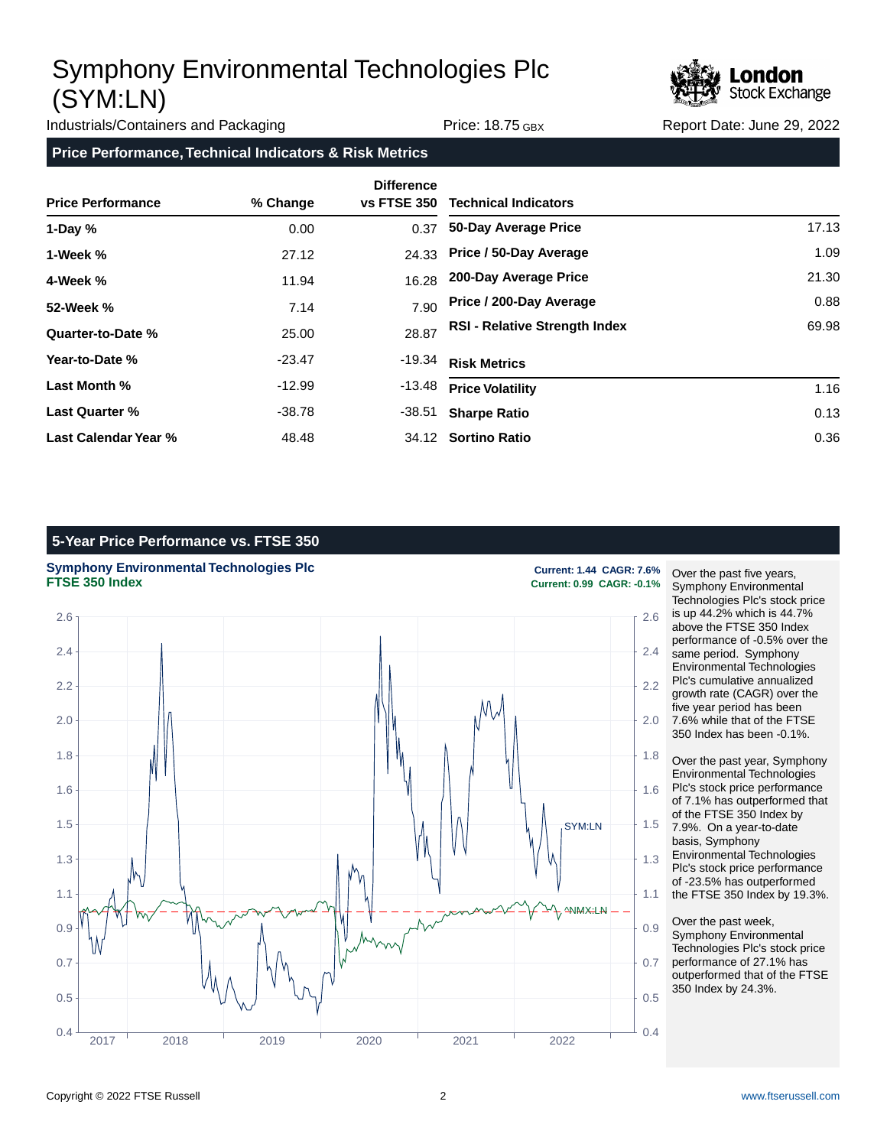

Industrials/Containers and Packaging Trice: 18.75 GBX Report Date: June 29, 2022

**Price Performance, Technical Indicators & Risk Metrics**

| <b>Price Performance</b> | % Change | <b>Difference</b><br><b>vs FTSE 350</b> | <b>Technical Indicators</b>          |       |
|--------------------------|----------|-----------------------------------------|--------------------------------------|-------|
| 1-Day $%$                | 0.00     | 0.37                                    | 50-Day Average Price                 | 17.13 |
| 1-Week %                 | 27.12    | 24.33                                   | Price / 50-Day Average               | 1.09  |
| 4-Week %                 | 11.94    | 16.28                                   | 200-Day Average Price                | 21.30 |
| 52-Week %                | 7.14     | 7.90                                    | Price / 200-Day Average              | 0.88  |
| Quarter-to-Date %        | 25.00    | 28.87                                   | <b>RSI - Relative Strength Index</b> | 69.98 |
| Year-to-Date %           | $-23.47$ | -19.34                                  | <b>Risk Metrics</b>                  |       |
| Last Month %             | $-12.99$ | -13.48                                  | <b>Price Volatility</b>              | 1.16  |
| <b>Last Quarter %</b>    | -38.78   | -38.51                                  | <b>Sharpe Ratio</b>                  | 0.13  |
| Last Calendar Year %     | 48.48    |                                         | 34.12 Sortino Ratio                  | 0.36  |

### **5-Year Price Performance vs. FTSE 350**





**FTSE 350 Index Current: 0.99 CAGR: -0.1%**

Over the past five years, Symphony Environmental Technologies Plc's stock price is up 44.2% which is 44.7% above the FTSE 350 Index performance of -0.5% over the same period. Symphony Environmental Technologies Plc's cumulative annualized growth rate (CAGR) over the five year period has been 7.6% while that of the FTSE 350 Index has been -0.1%.

Over the past year, Symphony Environmental Technologies Plc's stock price performance of 7.1% has outperformed that of the FTSE 350 Index by 7.9%. On a year-to-date basis, Symphony Environmental Technologies Plc's stock price performance of -23.5% has outperformed the FTSE 350 Index by 19.3%.

Over the past week, Symphony Environmental Technologies Plc's stock price performance of 27.1% has outperformed that of the FTSE 350 Index by 24.3%.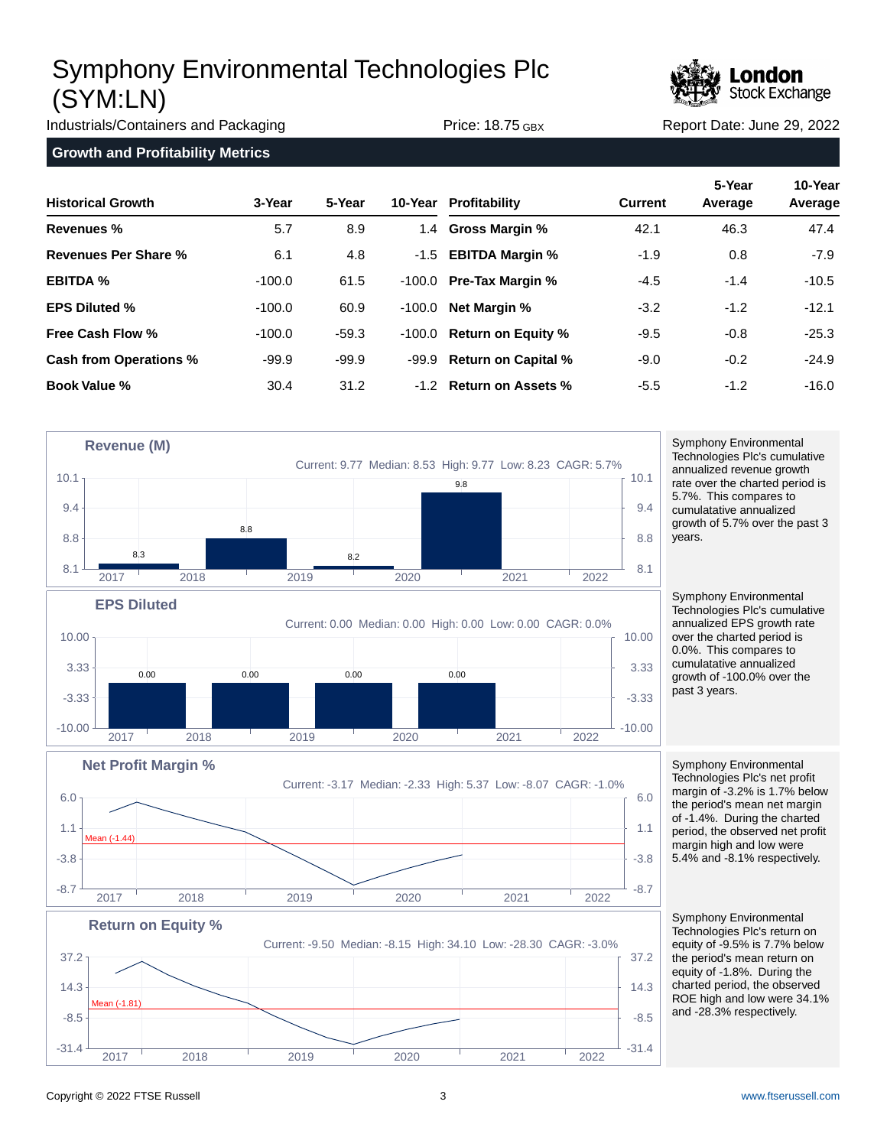

Industrials/Containers and Packaging Trice: 18.75 GBX Report Date: June 29, 2022

**Growth and Profitability Metrics**

| <b>Historical Growth</b>      | 3-Year   | 5-Year  |          | 10-Year Profitability       | <b>Current</b> | 5-Year<br>Average | 10-Year<br>Average |
|-------------------------------|----------|---------|----------|-----------------------------|----------------|-------------------|--------------------|
| Revenues %                    | 5.7      | 8.9     |          | 1.4 Gross Margin %          | 42.1           | 46.3              | 47.4               |
| Revenues Per Share %          | 6.1      | 4.8     |          | -1.5 <b>EBITDA Margin %</b> | $-1.9$         | 0.8               | $-7.9$             |
| <b>EBITDA %</b>               | $-100.0$ | 61.5    | -100.0   | <b>Pre-Tax Margin %</b>     | $-4.5$         | $-1.4$            | $-10.5$            |
| <b>EPS Diluted %</b>          | $-100.0$ | 60.9    | $-100.0$ | <b>Net Margin %</b>         | $-3.2$         | $-1.2$            | $-12.1$            |
| Free Cash Flow %              | $-100.0$ | $-59.3$ | -100.0   | <b>Return on Equity %</b>   | $-9.5$         | $-0.8$            | $-25.3$            |
| <b>Cash from Operations %</b> | $-99.9$  | $-99.9$ | -99.9    | <b>Return on Capital %</b>  | $-9.0$         | $-0.2$            | $-24.9$            |
| <b>Book Value %</b>           | 30.4     | 31.2    |          | -1.2 Return on Assets %     | $-5.5$         | $-1.2$            | $-16.0$            |



2017 2018 2019 2020 2021 2022

Symphony Environmental Technologies Plc's cumulative annualized revenue growth rate over the charted period is 5.7%. This compares to cumulatative annualized growth of 5.7% over the past 3 years.

Symphony Environmental Technologies Plc's cumulative annualized EPS growth rate over the charted period is 0.0%. This compares to cumulatative annualized growth of -100.0% over the past 3 years.

Symphony Environmental Technologies Plc's net profit margin of -3.2% is 1.7% below the period's mean net margin of -1.4%. During the charted period, the observed net profit margin high and low were 5.4% and -8.1% respectively.

Symphony Environmental Technologies Plc's return on equity of -9.5% is 7.7% below the period's mean return on equity of -1.8%. During the charted period, the observed ROE high and low were 34.1% and -28.3% respectively.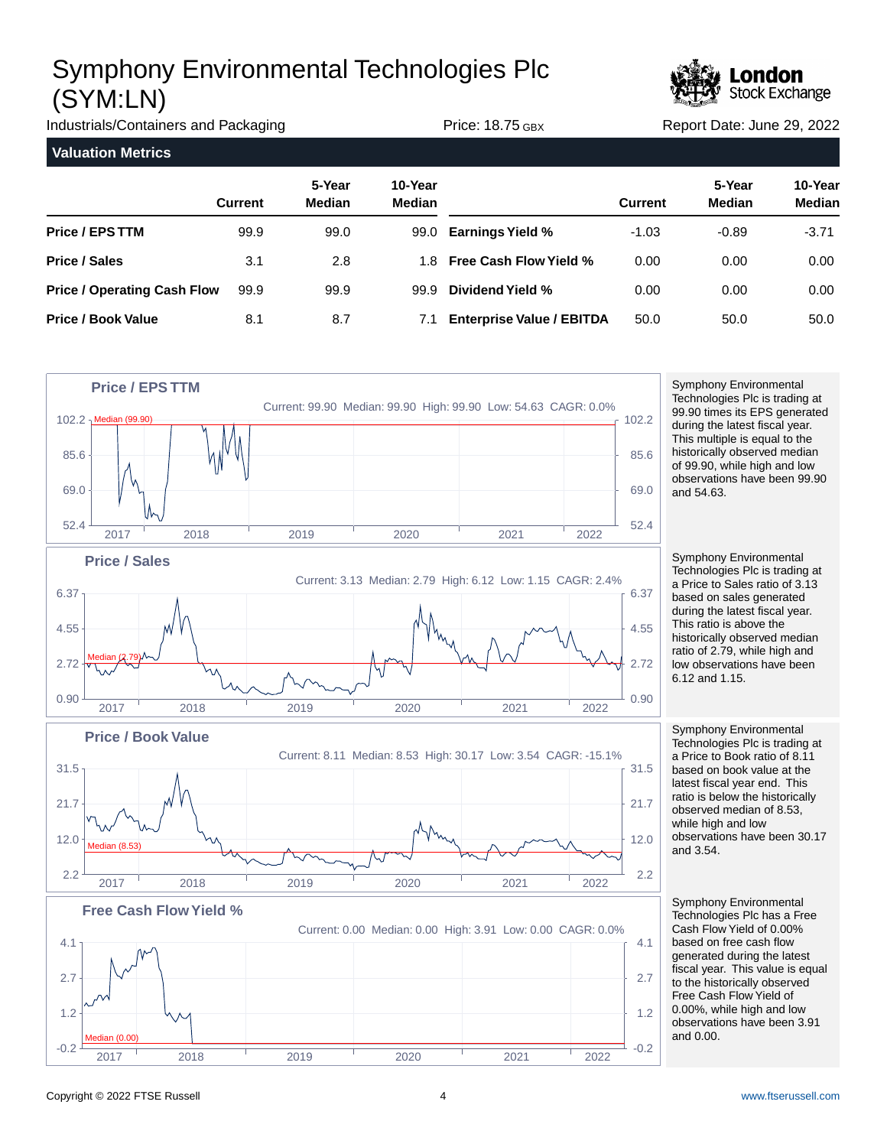

Industrials/Containers and Packaging Trice: 18.75 GBX Report Date: June 29, 2022 **Valuation Metrics 5-Year 10-Year Current Median Median Price / EPS TTM Price / Sales Price / Operating Cash Flow Price / Book Value 5-Year 10-Year Current Median Median Earnings Yield % Free Cash Flow Yield % Dividend Yield % Enterprise Value / EBITDA** 99.9 3.1 99.9 8.1 99.0 2.8 99.9 8.7 99.0 1.8 99.9 7.1 -1.03 0.00 0.00 50.0 -0.89 0.00 0.00 50.0 -3.71 0.00 0.00 50.0



Symphony Environmental Technologies Plc is trading at 99.90 times its EPS generated during the latest fiscal year. This multiple is equal to the historically observed median of 99.90, while high and low observations have been 99.90 and 54.63.

Symphony Environmental Technologies Plc is trading at a Price to Sales ratio of 3.13 based on sales generated during the latest fiscal year. This ratio is above the historically observed median ratio of 2.79, while high and low observations have been 6.12 and 1.15.

Symphony Environmental Technologies Plc is trading at a Price to Book ratio of 8.11 based on book value at the latest fiscal year end. This ratio is below the historically observed median of 8.53, while high and low observations have been 30.17 and 3.54.

Symphony Environmental Technologies Plc has a Free Cash Flow Yield of 0.00% based on free cash flow generated during the latest fiscal year. This value is equal to the historically observed Free Cash Flow Yield of 0.00%, while high and low observations have been 3.91 and 0.00.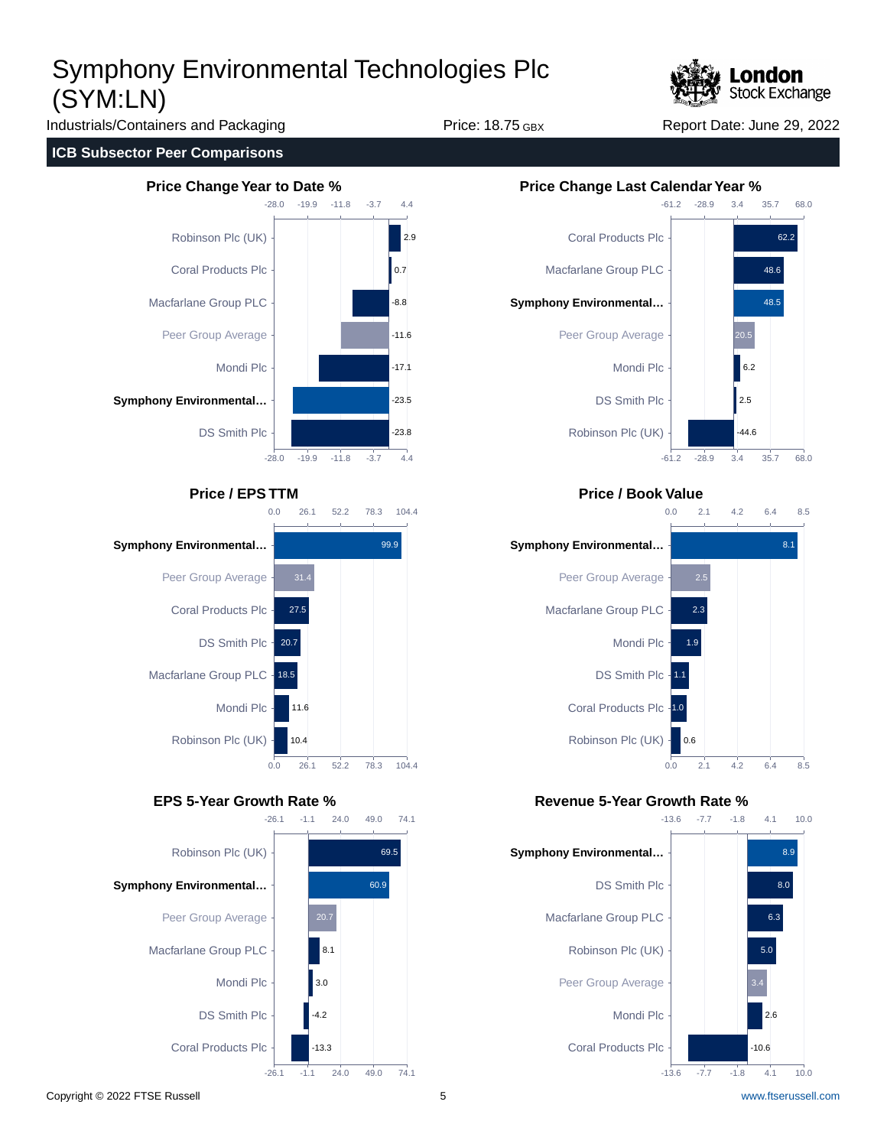

Industrials/Containers and Packaging Trice: 18.75 GBX Report Date: June 29, 2022

### **ICB Subsector Peer Comparisons**









## **Price / EPS TTM Price / Book Value**



## **EPS 5-Year Growth Rate % Revenue 5-Year Growth Rate %**

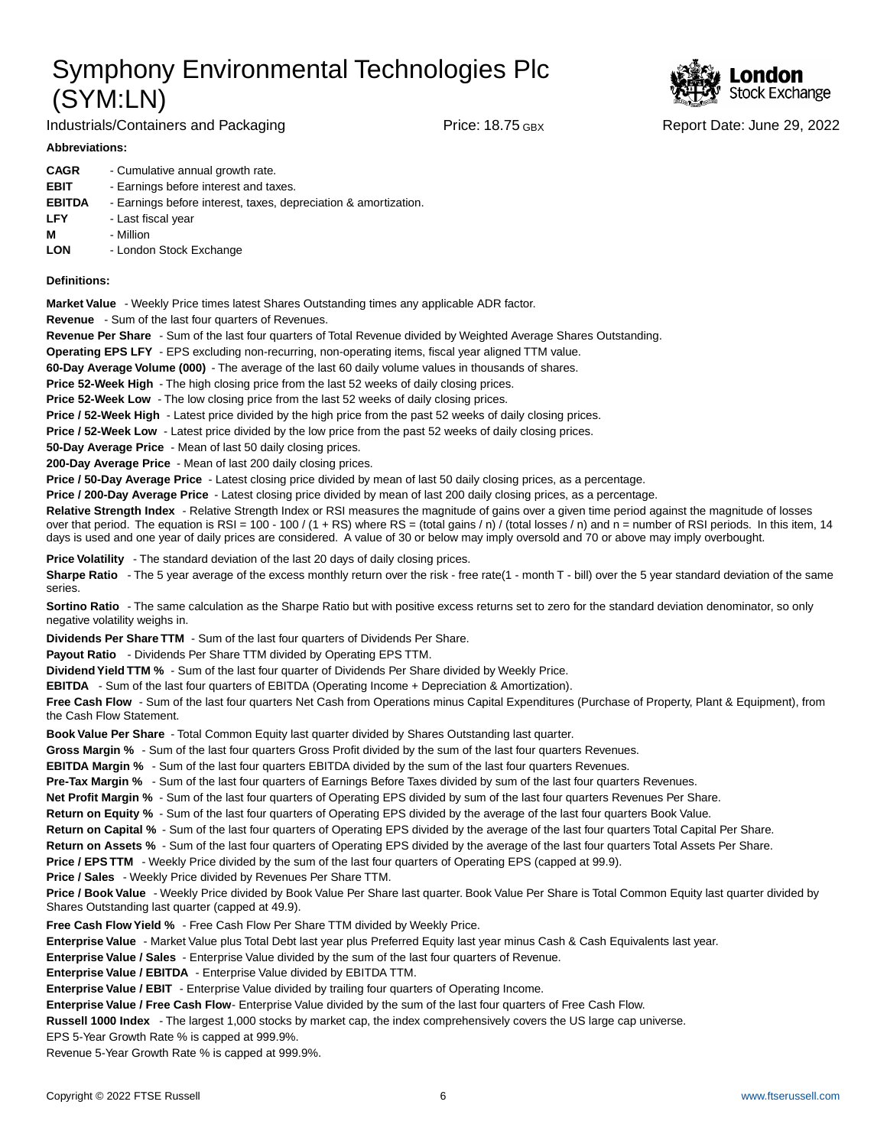

Industrials/Containers and Packaging Trice: 18.75 GBX Report Date: June 29, 2022

### **Abbreviations:**

| <b>CAGR</b>   | - Cumulative annual growth rate.                                |
|---------------|-----------------------------------------------------------------|
| <b>EBIT</b>   | - Earnings before interest and taxes.                           |
| <b>EBITDA</b> | - Earnings before interest, taxes, depreciation & amortization. |
| <b>LFY</b>    | - Last fiscal year                                              |
| М             | - Million                                                       |
| <b>LON</b>    | - London Stock Exchange                                         |

### **Definitions:**

**Market Value** - Weekly Price times latest Shares Outstanding times any applicable ADR factor.

**Revenue** - Sum of the last four quarters of Revenues.

**Revenue Per Share** - Sum of the last four quarters of Total Revenue divided by Weighted Average Shares Outstanding.

**Operating EPS LFY** - EPS excluding non-recurring, non-operating items, fiscal year aligned TTM value.

60-Day Average Volume (000) - The average of the last 60 daily volume values in thousands of shares.

**Price 52-Week High** - The high closing price from the last 52 weeks of daily closing prices.

**Price 52-Week Low** - The low closing price from the last 52 weeks of daily closing prices.

**Price / 52-Week High** - Latest price divided by the high price from the past 52 weeks of daily closing prices.

**Price / 52-Week Low** - Latest price divided by the low price from the past 52 weeks of daily closing prices.

**50-Day Average Price** - Mean of last 50 daily closing prices.

**200-Day Average Price** - Mean of last 200 daily closing prices.

Price / 50-Day Average Price - Latest closing price divided by mean of last 50 daily closing prices, as a percentage.

**Price / 200-Day Average Price** - Latest closing price divided by mean of last 200 daily closing prices, as a percentage.

Relative Strength Index - Relative Strength Index or RSI measures the magnitude of gains over a given time period against the magnitude of losses over that period. The equation is RSI = 100 - 100 / (1 + RS) where RS = (total gains / n) / (total losses / n) and n = number of RSI periods. In this item, 14 days is used and one year of daily prices are considered. A value of 30 or below may imply oversold and 70 or above may imply overbought.

**Price Volatility** - The standard deviation of the last 20 days of daily closing prices.

Sharpe Ratio - The 5 year average of the excess monthly return over the risk - free rate(1 - month T - bill) over the 5 year standard deviation of the same series.

**Sortino Ratio** - The same calculation as the Sharpe Ratio but with positive excess returns set to zero for the standard deviation denominator, so only negative volatility weighs in.

**Dividends Per Share TTM** - Sum of the last four quarters of Dividends Per Share.

Payout Ratio - Dividends Per Share TTM divided by Operating EPS TTM.

**Dividend Yield TTM %** - Sum of the last four quarter of Dividends Per Share divided by Weekly Price.

**EBITDA** - Sum of the last four quarters of EBITDA (Operating Income + Depreciation & Amortization).

**Free Cash Flow** - Sum of the last four quarters Net Cash from Operations minus Capital Expenditures (Purchase of Property, Plant & Equipment), from the Cash Flow Statement.

**Book Value Per Share** - Total Common Equity last quarter divided by Shares Outstanding last quarter.

**Gross Margin %** - Sum of the last four quarters Gross Profit divided by the sum of the last four quarters Revenues.

**EBITDA Margin %** - Sum of the last four quarters EBITDA divided by the sum of the last four quarters Revenues.

**Pre-Tax Margin %** - Sum of the last four quarters of Earnings Before Taxes divided by sum of the last four quarters Revenues.

**Net Profit Margin %** - Sum of the last four quarters of Operating EPS divided by sum of the last four quarters Revenues Per Share.

**Return on Equity %** - Sum of the last four quarters of Operating EPS divided by the average of the last four quarters Book Value.

**Return on Capital %** - Sum of the last four quarters of Operating EPS divided by the average of the last four quarters Total Capital Per Share.

**Return on Assets %** - Sum of the last four quarters of Operating EPS divided by the average of the last four quarters Total Assets Per Share.

**Price / EPS TTM** - Weekly Price divided by the sum of the last four quarters of Operating EPS (capped at 99.9).

**Price / Sales** - Weekly Price divided by Revenues Per Share TTM.

**Price / Book Value** - Weekly Price divided by Book Value Per Share last quarter. Book Value Per Share is Total Common Equity last quarter divided by Shares Outstanding last quarter (capped at 49.9).

**Free Cash Flow Yield %** - Free Cash Flow Per Share TTM divided by Weekly Price.

Enterprise Value - Market Value plus Total Debt last year plus Preferred Equity last year minus Cash & Cash Equivalents last year.

**Enterprise Value / Sales** - Enterprise Value divided by the sum of the last four quarters of Revenue.

**Enterprise Value / EBITDA** - Enterprise Value divided by EBITDA TTM.

**Enterprise Value / EBIT** - Enterprise Value divided by trailing four quarters of Operating Income.

Enterprise Value / Free Cash Flow- Enterprise Value divided by the sum of the last four quarters of Free Cash Flow.

**Russell 1000 Index** - The largest 1,000 stocks by market cap, the index comprehensively covers the US large cap universe.

EPS 5-Year Growth Rate % is capped at 999.9%.

Revenue 5-Year Growth Rate % is capped at 999.9%.